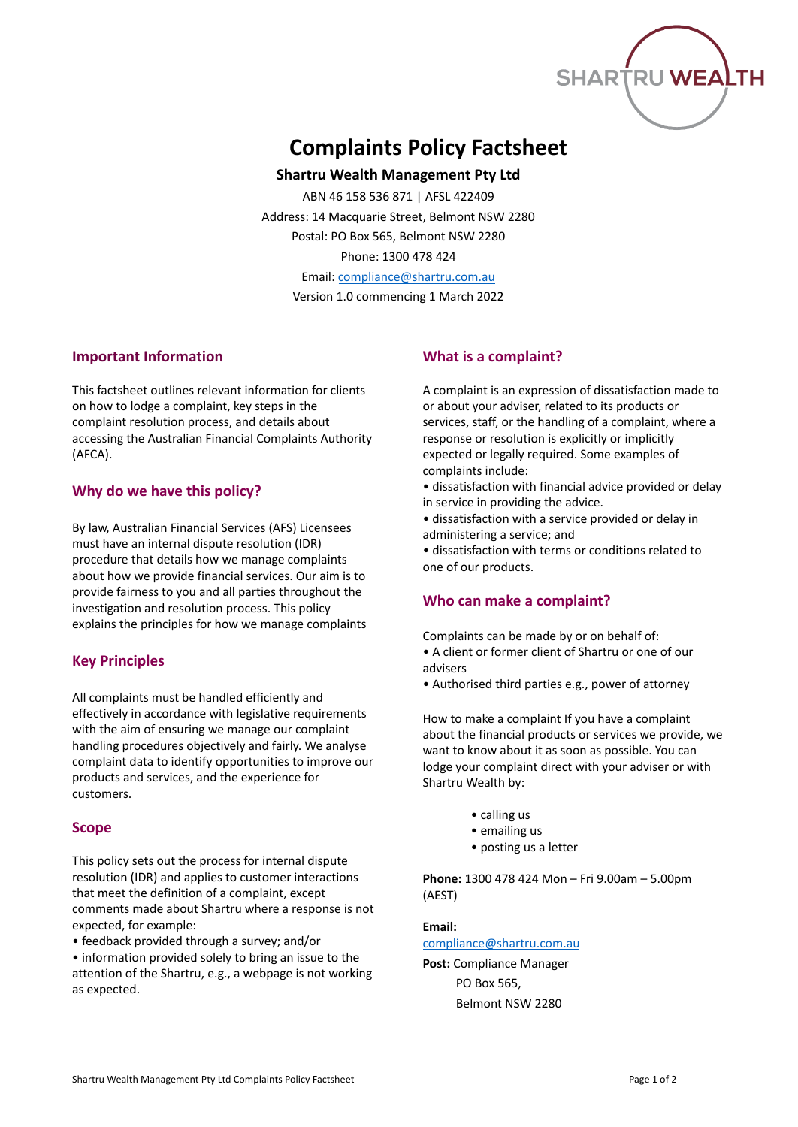

# **Complaints Policy Factsheet**

**Shartru Wealth Management Pty Ltd**

ABN 46 158 536 871 | AFSL 422409 Address: 14 Macquarie Street, Belmont NSW 2280 Postal: PO Box 565, Belmont NSW 2280 Phone: 1300 478 424 Email: [compliance@shartru.com.au](mailto:compliance@shartru.com.au)

Version 1.0 commencing 1 March 2022

## **Important Information**

This factsheet outlines relevant information for clients on how to lodge a complaint, key steps in the complaint resolution process, and details about accessing the Australian Financial Complaints Authority (AFCA).

## **Why do we have this policy?**

By law, Australian Financial Services (AFS) Licensees must have an internal dispute resolution (IDR) procedure that details how we manage complaints about how we provide financial services. Our aim is to provide fairness to you and all parties throughout the investigation and resolution process. This policy explains the principles for how we manage complaints

## **Key Principles**

All complaints must be handled efficiently and effectively in accordance with legislative requirements with the aim of ensuring we manage our complaint handling procedures objectively and fairly. We analyse complaint data to identify opportunities to improve our products and services, and the experience for customers.

## **Scope**

This policy sets out the process for internal dispute resolution (IDR) and applies to customer interactions that meet the definition of a complaint, except comments made about Shartru where a response is not expected, for example:

• feedback provided through a survey; and/or

• information provided solely to bring an issue to the attention of the Shartru, e.g., a webpage is not working as expected.

## **What is a complaint?**

A complaint is an expression of dissatisfaction made to or about your adviser, related to its products or services, staff, or the handling of a complaint, where a response or resolution is explicitly or implicitly expected or legally required. Some examples of complaints include:

- dissatisfaction with financial advice provided or delay in service in providing the advice.
- dissatisfaction with a service provided or delay in administering a service; and

• dissatisfaction with terms or conditions related to one of our products.

## **Who can make a complaint?**

Complaints can be made by or on behalf of: • A client or former client of Shartru or one of our advisers

• Authorised third parties e.g., power of attorney

How to make a complaint If you have a complaint about the financial products or services we provide, we want to know about it as soon as possible. You can lodge your complaint direct with your adviser or with Shartru Wealth by:

- calling us
- emailing us
- posting us a letter

**Phone:** 1300 478 424 Mon – Fri 9.00am – 5.00pm (AEST)

## **Email:**

## [compliance@shartru.com.au](mailto:compliance@shartru.com.au)

**Post:** Compliance Manager PO Box 565, Belmont NSW 2280